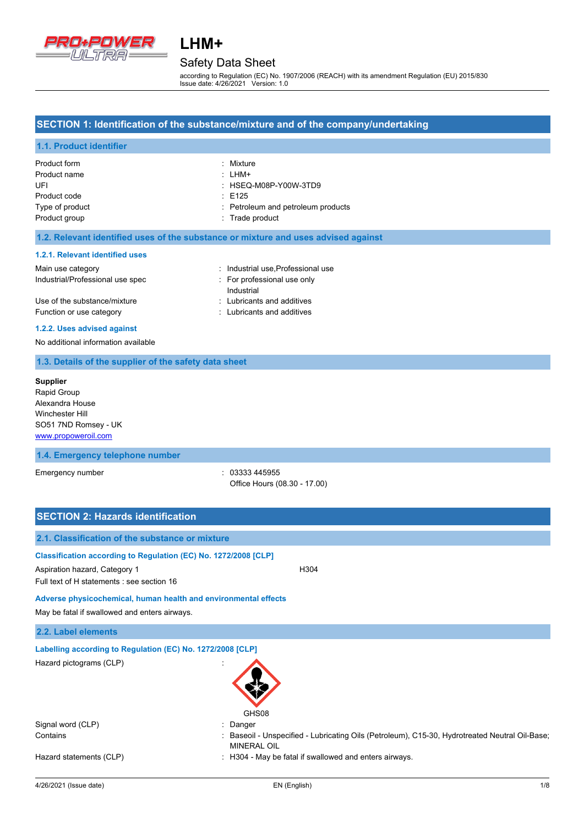

## Safety Data Sheet

according to Regulation (EC) No. 1907/2006 (REACH) with its amendment Regulation (EU) 2015/830 Issue date: 4/26/2021 Version: 1.0

### **SECTION 1: Identification of the substance/mixture and of the company/undertaking**

### **1.1. Product identifier**

| Product form    | : Mixture                          |
|-----------------|------------------------------------|
| Product name    | : LHM+                             |
| UFI             | : HSEQ-M08P-Y00W-3TD9              |
| Product code    | $\div$ E125                        |
| Type of product | : Petroleum and petroleum products |
| Product group   | : Trade product                    |

### **1.2. Relevant identified uses of the substance or mixture and uses advised against**

### **1.2.1. Relevant identified uses**

### Main use category **Main use** category **industrial use**, Professional use Industrial/Professional use spec : For professional use only Industrial Use of the substance/mixture in the substance/mixture in the substance of the substance in the substance of the substance/mixture in the substance of the substance of the substance of the substance of the substance of the Function or use category **Exercise 20** Function or use category

### **1.2.2. Uses advised against**

No additional information available

### **1.3. Details of the supplier of the safety data sheet**

**Supplier** Rapid Group Alexandra House Winchester Hill SO51 7ND Romsey - UK <www.propoweroil.com>

### **1.4. Emergency telephone number**

Emergency number  $\sim$  03333 445955

Office Hours (08.30 - 17.00)

### **SECTION 2: Hazards identification**

| 2.1. Classification of the substance or mixture                                                                                                |                                                                                                                      |  |
|------------------------------------------------------------------------------------------------------------------------------------------------|----------------------------------------------------------------------------------------------------------------------|--|
| Classification according to Regulation (EC) No. 1272/2008 [CLP]<br>Aspiration hazard, Category 1<br>Full text of H statements : see section 16 | H <sub>304</sub>                                                                                                     |  |
| Adverse physicochemical, human health and environmental effects<br>May be fatal if swallowed and enters airways.                               |                                                                                                                      |  |
| 2.2. Label elements                                                                                                                            |                                                                                                                      |  |
| Labelling according to Regulation (EC) No. 1272/2008 [CLP]                                                                                     |                                                                                                                      |  |
| Hazard pictograms (CLP)                                                                                                                        | GHS08                                                                                                                |  |
| Signal word (CLP)                                                                                                                              | : Danger                                                                                                             |  |
| Contains                                                                                                                                       | : Baseoil - Unspecified - Lubricating Oils (Petroleum), C15-30, Hydrotreated Neutral Oil-Base;<br><b>MINERAL OIL</b> |  |
| Hazard statements (CLP)                                                                                                                        | : H304 - May be fatal if swallowed and enters airways.                                                               |  |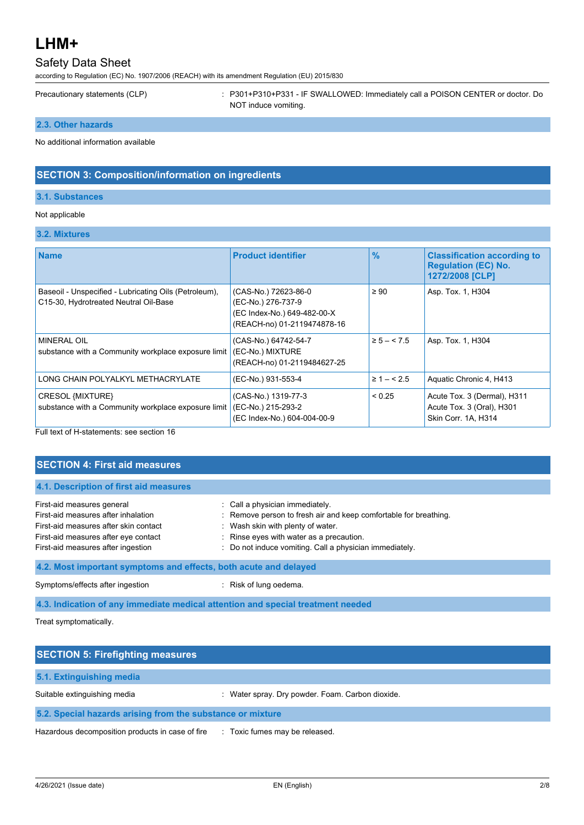## Safety Data Sheet

according to Regulation (EC) No. 1907/2006 (REACH) with its amendment Regulation (EU) 2015/830

Precautionary statements (CLP) : P301+P310+P331 - IF SWALLOWED: Immediately call a POISON CENTER or doctor. Do NOT induce vomiting.

### **2.3. Other hazards**

No additional information available

## **SECTION 3: Composition/information on ingredients**

### **3.1. Substances**

### Not applicable

## **3.2. Mixtures**

| <b>Name</b>                                                                                    | <b>Product identifier</b>                                                                                | $\frac{9}{6}$  | <b>Classification according to</b><br><b>Regulation (EC) No.</b><br>1272/2008 [CLP] |
|------------------------------------------------------------------------------------------------|----------------------------------------------------------------------------------------------------------|----------------|-------------------------------------------------------------------------------------|
| Baseoil - Unspecified - Lubricating Oils (Petroleum),<br>C15-30, Hydrotreated Neutral Oil-Base | (CAS-No.) 72623-86-0<br>(EC-No.) 276-737-9<br>(EC Index-No.) 649-482-00-X<br>(REACH-no) 01-2119474878-16 | $\geq 90$      | Asp. Tox. 1, H304                                                                   |
| MINERAL OIL<br>substance with a Community workplace exposure limit                             | (CAS-No.) 64742-54-7<br>(EC-No.) MIXTURE<br>(REACH-no) 01-2119484627-25                                  | $\ge 5 - 5.5$  | Asp. Tox. 1, H304                                                                   |
| LONG CHAIN POLYALKYL METHACRYLATE                                                              | (EC-No.) 931-553-4                                                                                       | $\geq 1 - 5.5$ | Aquatic Chronic 4, H413                                                             |
| CRESOL {MIXTURE}<br>substance with a Community workplace exposure limit                        | (CAS-No.) 1319-77-3<br>(EC-No.) 215-293-2<br>(EC Index-No.) 604-004-00-9                                 | < 0.25         | Acute Tox. 3 (Dermal), H311<br>Acute Tox. 3 (Oral), H301<br>Skin Corr. 1A, H314     |

Full text of H-statements: see section 16

## **SECTION 4: First aid measures**

| First-aid measures general            | : Call a physician immediately.                                  |
|---------------------------------------|------------------------------------------------------------------|
| First-aid measures after inhalation   | : Remove person to fresh air and keep comfortable for breathing. |
| First-aid measures after skin contact | : Wash skin with plenty of water.                                |
| First-aid measures after eye contact  | : Rinse eyes with water as a precaution.                         |
| First-aid measures after ingestion    | : Do not induce vomiting. Call a physician immediately.          |

Symptoms/effects after ingestion : Risk of lung oedema.

**4.3. Indication of any immediate medical attention and special treatment needed**

Treat symptomatically.

| <b>SECTION 5: Firefighting measures</b>                    |                                                  |  |
|------------------------------------------------------------|--------------------------------------------------|--|
| 5.1. Extinguishing media                                   |                                                  |  |
| Suitable extinguishing media                               | : Water spray. Dry powder. Foam. Carbon dioxide. |  |
| 5.2. Special hazards arising from the substance or mixture |                                                  |  |
| Hazardous decomposition products in case of fire           | : Toxic fumes may be released.                   |  |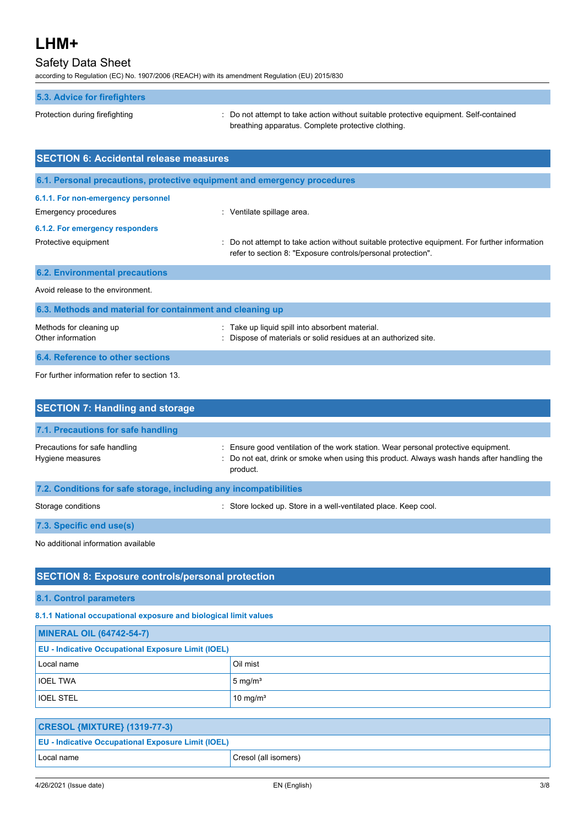## Safety Data Sheet

according to Regulation (EC) No. 1907/2006 (REACH) with its amendment Regulation (EU) 2015/830

| 5.3. Advice for firefighters |
|------------------------------|
|------------------------------|

Protection during firefighting  $\blacksquare$ : Do not attempt to take action without suitable protective equipment. Self-contained breathing apparatus. Complete protective clothing.

| <b>SECTION 6: Accidental release measures</b>                                                 |                                                                                                                                                                |  |
|-----------------------------------------------------------------------------------------------|----------------------------------------------------------------------------------------------------------------------------------------------------------------|--|
| 6.1. Personal precautions, protective equipment and emergency procedures                      |                                                                                                                                                                |  |
| 6.1.1. For non-emergency personnel<br>Emergency procedures<br>6.1.2. For emergency responders | : Ventilate spillage area.                                                                                                                                     |  |
| Protective equipment                                                                          | : Do not attempt to take action without suitable protective equipment. For further information<br>refer to section 8: "Exposure controls/personal protection". |  |
| <b>6.2. Environmental precautions</b>                                                         |                                                                                                                                                                |  |
| Avoid release to the environment.                                                             |                                                                                                                                                                |  |
| 6.3. Methods and material for containment and cleaning up                                     |                                                                                                                                                                |  |
| Methods for cleaning up<br>Other information                                                  | Take up liquid spill into absorbent material.<br>: Dispose of materials or solid residues at an authorized site.                                               |  |
| 6.4. Reference to other sections                                                              |                                                                                                                                                                |  |

For further information refer to section 13.

| <b>SECTION 7: Handling and storage</b>                            |                                                                                                                                                                                                  |
|-------------------------------------------------------------------|--------------------------------------------------------------------------------------------------------------------------------------------------------------------------------------------------|
| 7.1. Precautions for safe handling                                |                                                                                                                                                                                                  |
| Precautions for safe handling<br>Hygiene measures                 | Ensure good ventilation of the work station. Wear personal protective equipment.<br>÷.<br>: Do not eat, drink or smoke when using this product. Always wash hands after handling the<br>product. |
| 7.2. Conditions for safe storage, including any incompatibilities |                                                                                                                                                                                                  |
| Storage conditions                                                | : Store locked up. Store in a well-ventilated place. Keep cool.                                                                                                                                  |
| 7.3. Specific end use(s)                                          |                                                                                                                                                                                                  |
| No additional information available                               |                                                                                                                                                                                                  |

## **SECTION 8: Exposure controls/personal protection**

**8.1. Control parameters**

**8.1.1 National occupational exposure and biological limit values**

| <b>MINERAL OIL (64742-54-7)</b>                           |                      |
|-----------------------------------------------------------|----------------------|
| <b>EU - Indicative Occupational Exposure Limit (IOEL)</b> |                      |
| Local name                                                | Oil mist             |
| <b>IOEL TWA</b>                                           | $5 \text{ mg/m}^3$   |
| <b>IOEL STEL</b>                                          | 10 mg/m <sup>3</sup> |

| <b>CRESOL {MIXTURE} (1319-77-3)</b>                       |                      |
|-----------------------------------------------------------|----------------------|
| <b>EU</b> - Indicative Occupational Exposure Limit (IOEL) |                      |
| Local name                                                | Cresol (all isomers) |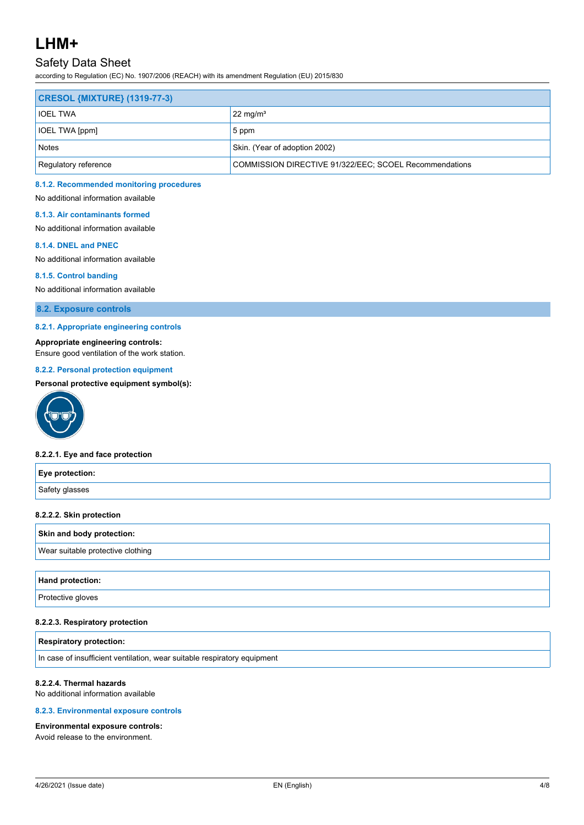## Safety Data Sheet

according to Regulation (EC) No. 1907/2006 (REACH) with its amendment Regulation (EU) 2015/830

| <b>CRESOL {MIXTURE} (1319-77-3)</b> |                                                        |
|-------------------------------------|--------------------------------------------------------|
| <b>IOEL TWA</b>                     | $22 \text{ mg/m}^3$                                    |
| <b>IOEL TWA [ppm]</b>               | 5 ppm                                                  |
| <b>Notes</b>                        | Skin. (Year of adoption 2002)                          |
| Regulatory reference                | COMMISSION DIRECTIVE 91/322/EEC; SCOEL Recommendations |

#### **8.1.2. Recommended monitoring procedures**

No additional information available

#### **8.1.3. Air contaminants formed**

No additional information available

#### **8.1.4. DNEL and PNEC**

No additional information available

### **8.1.5. Control banding**

No additional information available

**8.2. Exposure controls**

#### **8.2.1. Appropriate engineering controls**

**Appropriate engineering controls:**

Ensure good ventilation of the work station.

### **8.2.2. Personal protection equipment**

### **Personal protective equipment symbol(s):**



#### **8.2.2.1. Eye and face protection**

# **Eye protection:** Safety glasses **8.2.2.2. Skin protection**

### **Skin and body protection:**

Wear suitable protective clothing

#### **Hand protection:**

**Protective gloves** 

### **8.2.2.3. Respiratory protection**

### **Respiratory protection:**

In case of insufficient ventilation, wear suitable respiratory equipment

### **8.2.2.4. Thermal hazards**

No additional information available

#### **8.2.3. Environmental exposure controls**

#### **Environmental exposure controls:**

Avoid release to the environment.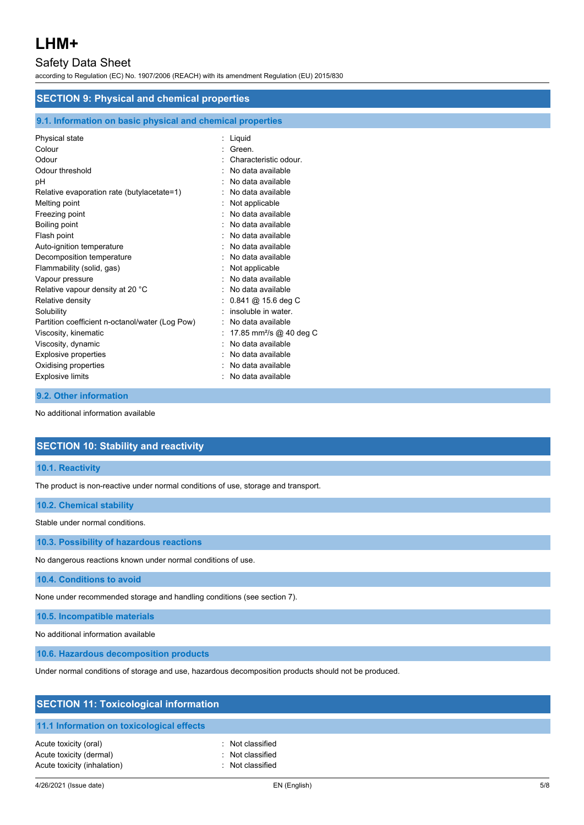## Safety Data Sheet

according to Regulation (EC) No. 1907/2006 (REACH) with its amendment Regulation (EU) 2015/830

| <b>SECTION 9: Physical and chemical properties</b>                                                                                                                                                                                                                                                                                                                                                                                                                                          |                                                                                                                                                                                                                                                                                                                                                                                                                                                                               |  |
|---------------------------------------------------------------------------------------------------------------------------------------------------------------------------------------------------------------------------------------------------------------------------------------------------------------------------------------------------------------------------------------------------------------------------------------------------------------------------------------------|-------------------------------------------------------------------------------------------------------------------------------------------------------------------------------------------------------------------------------------------------------------------------------------------------------------------------------------------------------------------------------------------------------------------------------------------------------------------------------|--|
| 9.1. Information on basic physical and chemical properties                                                                                                                                                                                                                                                                                                                                                                                                                                  |                                                                                                                                                                                                                                                                                                                                                                                                                                                                               |  |
| Physical state<br>Colour<br>Odour<br>Odour threshold<br>pH<br>Relative evaporation rate (butylacetate=1)<br>Melting point<br>Freezing point<br>Boiling point<br>Flash point<br>Auto-ignition temperature<br>Decomposition temperature<br>Flammability (solid, gas)<br>Vapour pressure<br>Relative vapour density at 20 °C<br>Relative density<br>Solubility<br>Partition coefficient n-octanol/water (Log Pow)<br>Viscosity, kinematic<br>Viscosity, dynamic<br><b>Explosive properties</b> | $:$ Liquid<br>Green.<br>Characteristic odour.<br>No data available<br>No data available<br>No data available<br>Not applicable<br>No data available<br>No data available<br>No data available<br>No data available<br>No data available<br>Not applicable<br>: No data available<br>No data available<br>$0.841 \; \textcircled{a}$ 15.6 deg C<br>: insoluble in water.<br>No data available<br>17.85 mm <sup>2</sup> /s @ 40 deg C<br>No data available<br>No data available |  |
| Oxidising properties<br><b>Explosive limits</b>                                                                                                                                                                                                                                                                                                                                                                                                                                             | No data available<br>No data available                                                                                                                                                                                                                                                                                                                                                                                                                                        |  |

### **9.2. Other information**

No additional information available

### **SECTION 10: Stability and reactivity**

## **10.1. Reactivity**

The product is non-reactive under normal conditions of use, storage and transport.

### **10.2. Chemical stability**

Stable under normal conditions.

**10.3. Possibility of hazardous reactions**

No dangerous reactions known under normal conditions of use.

### **10.4. Conditions to avoid**

None under recommended storage and handling conditions (see section 7).

**10.5. Incompatible materials**

No additional information available

**10.6. Hazardous decomposition products**

Under normal conditions of storage and use, hazardous decomposition products should not be produced.

| <b>SECTION 11: Toxicological information</b>                                    |                                                          |  |
|---------------------------------------------------------------------------------|----------------------------------------------------------|--|
| 11.1 Information on toxicological effects                                       |                                                          |  |
| Acute toxicity (oral)<br>Acute toxicity (dermal)<br>Acute toxicity (inhalation) | : Not classified<br>: Not classified<br>: Not classified |  |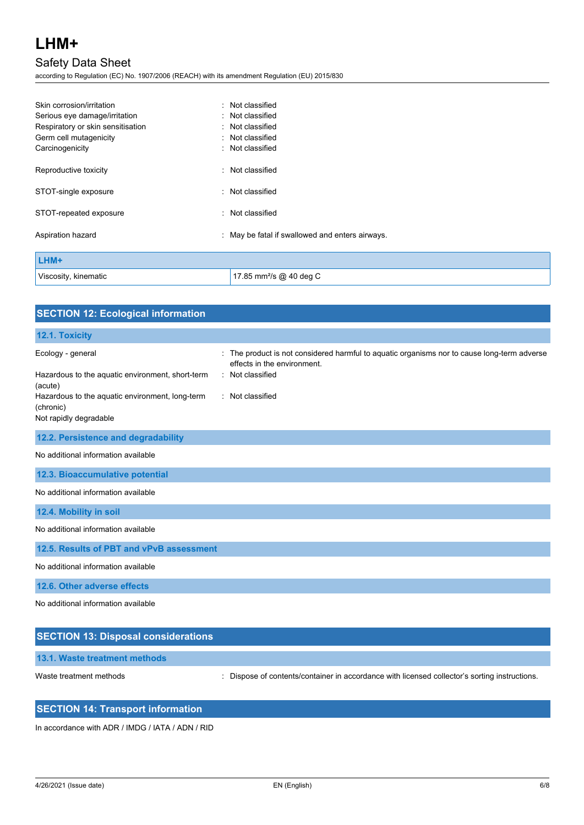## Safety Data Sheet

according to Regulation (EC) No. 1907/2006 (REACH) with its amendment Regulation (EU) 2015/830

| Skin corrosion/irritation         | : Not classified                                |
|-----------------------------------|-------------------------------------------------|
| Serious eye damage/irritation     | : Not classified                                |
| Respiratory or skin sensitisation | : Not classified                                |
| Germ cell mutagenicity            | : Not classified                                |
| Carcinogenicity                   | : Not classified                                |
| Reproductive toxicity             | : Not classified                                |
| STOT-single exposure              | : Not classified                                |
| STOT-repeated exposure            | : Not classified                                |
| Aspiration hazard                 | : May be fatal if swallowed and enters airways. |
| LHM+                              |                                                 |
| Viscosity, kinematic              | 17.85 mm <sup>2</sup> /s @ 40 deg C             |

| <b>SECTION 12: Ecological information</b>                                                                                                                                  |                                                                                                                                                                        |
|----------------------------------------------------------------------------------------------------------------------------------------------------------------------------|------------------------------------------------------------------------------------------------------------------------------------------------------------------------|
| 12.1. Toxicity                                                                                                                                                             |                                                                                                                                                                        |
| Ecology - general<br>Hazardous to the aquatic environment, short-term<br>(acute)<br>Hazardous to the aquatic environment, long-term<br>(chronic)<br>Not rapidly degradable | The product is not considered harmful to aquatic organisms nor to cause long-term adverse<br>÷.<br>effects in the environment.<br>: Not classified<br>: Not classified |
| 12.2. Persistence and degradability                                                                                                                                        |                                                                                                                                                                        |
| No additional information available                                                                                                                                        |                                                                                                                                                                        |
| 12.3. Bioaccumulative potential                                                                                                                                            |                                                                                                                                                                        |
| No additional information available                                                                                                                                        |                                                                                                                                                                        |
| 12.4. Mobility in soil                                                                                                                                                     |                                                                                                                                                                        |
| No additional information available                                                                                                                                        |                                                                                                                                                                        |
| 12.5. Results of PBT and vPvB assessment                                                                                                                                   |                                                                                                                                                                        |
| No additional information available                                                                                                                                        |                                                                                                                                                                        |
| 12.6. Other adverse effects                                                                                                                                                |                                                                                                                                                                        |
| No additional information available                                                                                                                                        |                                                                                                                                                                        |

| <b>SECTION 13: Disposal considerations</b> |                                                                                               |  |
|--------------------------------------------|-----------------------------------------------------------------------------------------------|--|
| 13.1. Waste treatment methods              |                                                                                               |  |
| Waste treatment methods                    | : Dispose of contents/container in accordance with licensed collector's sorting instructions. |  |

## **SECTION 14: Transport information**

In accordance with ADR / IMDG / IATA / ADN / RID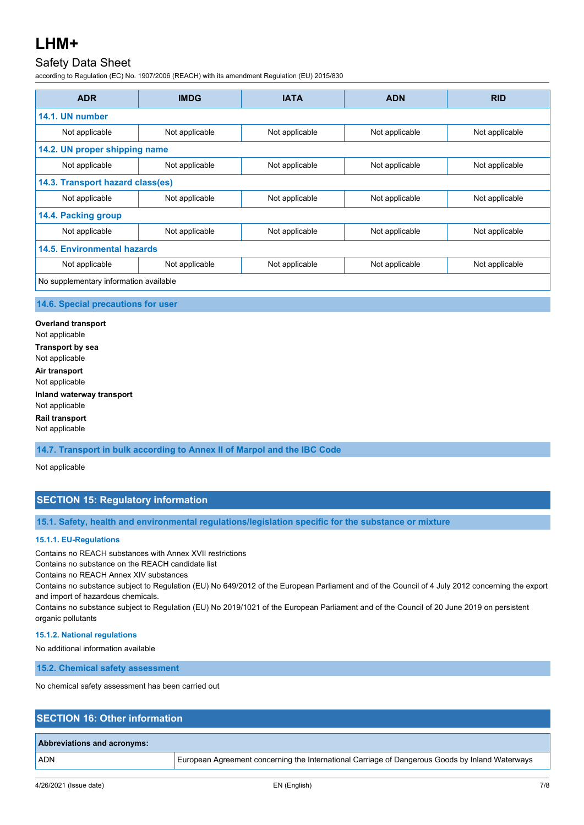## Safety Data Sheet

according to Regulation (EC) No. 1907/2006 (REACH) with its amendment Regulation (EU) 2015/830

| <b>ADR</b>                             | <b>IMDG</b>    | <b>IATA</b>    | <b>ADN</b>     | <b>RID</b>     |
|----------------------------------------|----------------|----------------|----------------|----------------|
| 14.1. UN number                        |                |                |                |                |
| Not applicable                         | Not applicable | Not applicable | Not applicable | Not applicable |
| 14.2. UN proper shipping name          |                |                |                |                |
| Not applicable                         | Not applicable | Not applicable | Not applicable | Not applicable |
| 14.3. Transport hazard class(es)       |                |                |                |                |
| Not applicable                         | Not applicable | Not applicable | Not applicable | Not applicable |
| 14.4. Packing group                    |                |                |                |                |
| Not applicable                         | Not applicable | Not applicable | Not applicable | Not applicable |
| <b>14.5. Environmental hazards</b>     |                |                |                |                |
| Not applicable                         | Not applicable | Not applicable | Not applicable | Not applicable |
| No supplementary information available |                |                |                |                |

### **14.6. Special precautions for user**

**Overland transport** Not applicable **Transport by sea** Not applicable **Air transport** Not applicable **Inland waterway transport** Not applicable **Rail transport** Not applicable

**14.7. Transport in bulk according to Annex II of Marpol and the IBC Code**

Not applicable

## **SECTION 15: Regulatory information**

**15.1. Safety, health and environmental regulations/legislation specific for the substance or mixture**

### **15.1.1. EU-Regulations**

Contains no REACH substances with Annex XVII restrictions

Contains no substance on the REACH candidate list

Contains no REACH Annex XIV substances

Contains no substance subject to Regulation (EU) No 649/2012 of the European Parliament and of the Council of 4 July 2012 concerning the export and import of hazardous chemicals.

Contains no substance subject to Regulation (EU) No 2019/1021 of the European Parliament and of the Council of 20 June 2019 on persistent organic pollutants

### **15.1.2. National regulations**

No additional information available

**15.2. Chemical safety assessment**

No chemical safety assessment has been carried out

## **SECTION 16: Other information**

### **Abbreviations and acronyms:**

ADN European Agreement concerning the International Carriage of Dangerous Goods by Inland Waterways